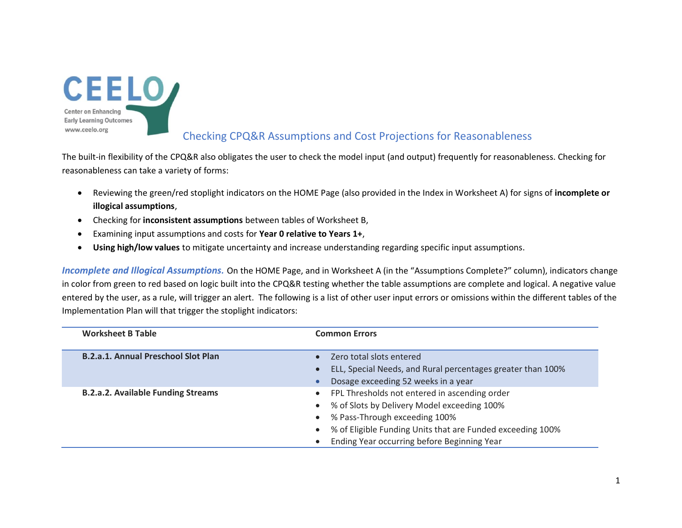

## Checking CPQ&R Assumptions and Cost Projections for Reasonableness

The built-in flexibility of the CPQ&R also obligates the user to check the model input (and output) frequently for reasonableness. Checking for reasonableness can take a variety of forms:

- Reviewing the green/red stoplight indicators on the HOME Page (also provided in the Index in Worksheet A) for signs of **incomplete or illogical assumptions**,
- Checking for **inconsistent assumptions** between tables of Worksheet B,
- Examining input assumptions and costs for **Year 0 relative to Years 1+**,
- **Using high/low values** to mitigate uncertainty and increase understanding regarding specific input assumptions.

*Incomplete and Illogical Assumptions.* On the HOME Page, and in Worksheet A (in the "Assumptions Complete?" column), indicators change in color from green to red based on logic built into the CPQ&R testing whether the table assumptions are complete and logical. A negative value entered by the user, as a rule, will trigger an alert. The following is a list of other user input errors or omissions within the different tables of the Implementation Plan will that trigger the stoplight indicators:

| <b>Worksheet B Table</b>                   | <b>Common Errors</b>                                                     |  |
|--------------------------------------------|--------------------------------------------------------------------------|--|
| <b>B.2.a.1. Annual Preschool Slot Plan</b> | Zero total slots entered<br>$\bullet$                                    |  |
|                                            | ELL, Special Needs, and Rural percentages greater than 100%<br>$\bullet$ |  |
|                                            | Dosage exceeding 52 weeks in a year                                      |  |
| <b>B.2.a.2. Available Funding Streams</b>  | • FPL Thresholds not entered in ascending order                          |  |
|                                            | • % of Slots by Delivery Model exceeding 100%                            |  |
|                                            | % Pass-Through exceeding 100%                                            |  |
|                                            | % of Eligible Funding Units that are Funded exceeding 100%<br>$\bullet$  |  |
|                                            | Ending Year occurring before Beginning Year                              |  |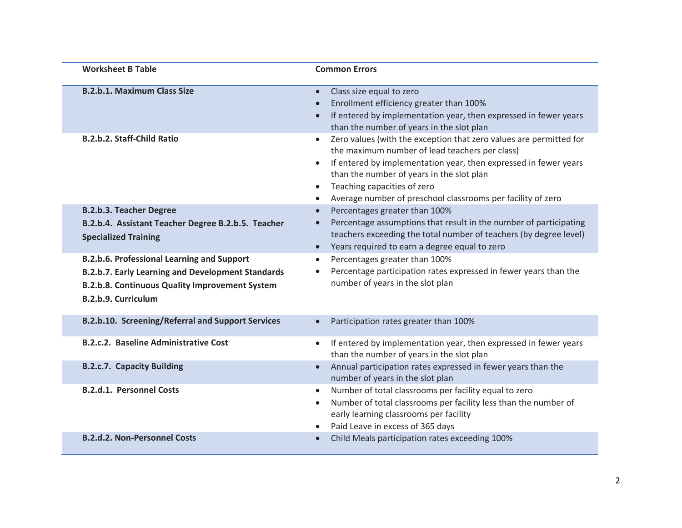| <b>Worksheet B Table</b>                                                                                                                                                                      | <b>Common Errors</b>                                                                                                                                                                                                                                                                                                                                                                    |
|-----------------------------------------------------------------------------------------------------------------------------------------------------------------------------------------------|-----------------------------------------------------------------------------------------------------------------------------------------------------------------------------------------------------------------------------------------------------------------------------------------------------------------------------------------------------------------------------------------|
| <b>B.2.b.1. Maximum Class Size</b>                                                                                                                                                            | Class size equal to zero<br>$\bullet$<br>Enrollment efficiency greater than 100%<br>$\bullet$<br>If entered by implementation year, then expressed in fewer years<br>$\bullet$<br>than the number of years in the slot plan                                                                                                                                                             |
| <b>B.2.b.2. Staff-Child Ratio</b>                                                                                                                                                             | Zero values (with the exception that zero values are permitted for<br>$\bullet$<br>the maximum number of lead teachers per class)<br>If entered by implementation year, then expressed in fewer years<br>$\bullet$<br>than the number of years in the slot plan<br>Teaching capacities of zero<br>$\bullet$<br>Average number of preschool classrooms per facility of zero<br>$\bullet$ |
| <b>B.2.b.3. Teacher Degree</b><br>B.2.b.4. Assistant Teacher Degree B.2.b.5. Teacher<br><b>Specialized Training</b>                                                                           | Percentages greater than 100%<br>$\bullet$<br>Percentage assumptions that result in the number of participating<br>$\bullet$<br>teachers exceeding the total number of teachers (by degree level)<br>Years required to earn a degree equal to zero<br>$\bullet$                                                                                                                         |
| <b>B.2.b.6. Professional Learning and Support</b><br><b>B.2.b.7. Early Learning and Development Standards</b><br><b>B.2.b.8. Continuous Quality Improvement System</b><br>B.2.b.9. Curriculum | Percentages greater than 100%<br>$\bullet$<br>Percentage participation rates expressed in fewer years than the<br>$\bullet$<br>number of years in the slot plan                                                                                                                                                                                                                         |
| <b>B.2.b.10. Screening/Referral and Support Services</b>                                                                                                                                      | Participation rates greater than 100%<br>$\bullet$                                                                                                                                                                                                                                                                                                                                      |
| <b>B.2.c.2. Baseline Administrative Cost</b>                                                                                                                                                  | If entered by implementation year, then expressed in fewer years<br>$\bullet$<br>than the number of years in the slot plan                                                                                                                                                                                                                                                              |
| <b>B.2.c.7. Capacity Building</b>                                                                                                                                                             | Annual participation rates expressed in fewer years than the<br>$\bullet$<br>number of years in the slot plan                                                                                                                                                                                                                                                                           |
| <b>B.2.d.1. Personnel Costs</b>                                                                                                                                                               | Number of total classrooms per facility equal to zero<br>$\bullet$<br>Number of total classrooms per facility less than the number of<br>$\bullet$<br>early learning classrooms per facility<br>Paid Leave in excess of 365 days<br>$\bullet$                                                                                                                                           |
| <b>B.2.d.2. Non-Personnel Costs</b>                                                                                                                                                           | Child Meals participation rates exceeding 100%<br>$\bullet$                                                                                                                                                                                                                                                                                                                             |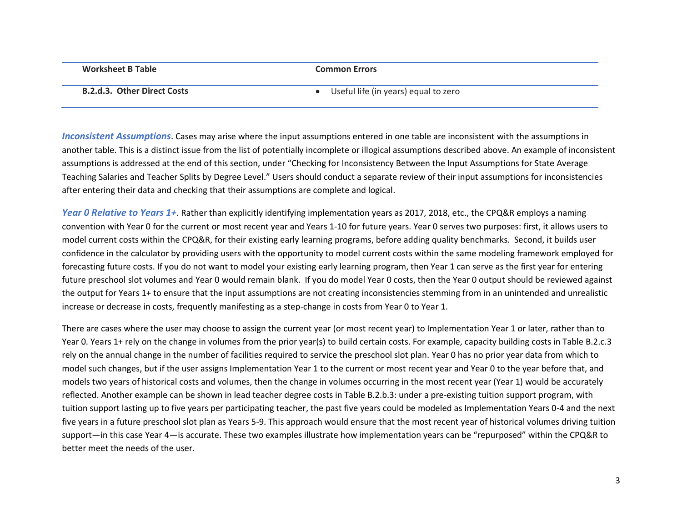| Worksheet B Table                  | Common Errors                        |
|------------------------------------|--------------------------------------|
| <b>B.2.d.3. Other Direct Costs</b> | Useful life (in years) equal to zero |

*Inconsistent Assumptions*. Cases may arise where the input assumptions entered in one table are inconsistent with the assumptions in another table. This is a distinct issue from the list of potentially incomplete or illogical assumptions described above. An example of inconsistent assumptions is addressed at the end of this section, under "Checking for Inconsistency Between the Input Assumptions for State Average Teaching Salaries and Teacher Splits by Degree Level." Users should conduct a separate review of their input assumptions for inconsistencies after entering their data and checking that their assumptions are complete and logical.

*Year 0 Relative to Years 1+*. Rather than explicitly identifying implementation years as 2017, 2018, etc., the CPQ&R employs a naming convention with Year 0 for the current or most recent year and Years 1-10 for future years. Year 0 serves two purposes: first, it allows users to model current costs within the CPQ&R, for their existing early learning programs, before adding quality benchmarks. Second, it builds user confidence in the calculator by providing users with the opportunity to model current costs within the same modeling framework employed for forecasting future costs. If you do not want to model your existing early learning program, then Year 1 can serve as the first year for entering future preschool slot volumes and Year 0 would remain blank. If you do model Year 0 costs, then the Year 0 output should be reviewed against the output for Years 1+ to ensure that the input assumptions are not creating inconsistencies stemming from in an unintended and unrealistic increase or decrease in costs, frequently manifesting as a step-change in costs from Year 0 to Year 1.

There are cases where the user may choose to assign the current year (or most recent year) to Implementation Year 1 or later, rather than to Year 0. Years 1+ rely on the change in volumes from the prior year(s) to build certain costs. For example, capacity building costs in Table B.2.c.3 rely on the annual change in the number of facilities required to service the preschool slot plan. Year 0 has no prior year data from which to model such changes, but if the user assigns Implementation Year 1 to the current or most recent year and Year 0 to the year before that, and models two years of historical costs and volumes, then the change in volumes occurring in the most recent year (Year 1) would be accurately reflected. Another example can be shown in lead teacher degree costs in Table B.2.b.3: under a pre-existing tuition support program, with tuition support lasting up to five years per participating teacher, the past five years could be modeled as Implementation Years 0-4 and the next five years in a future preschool slot plan as Years 5-9. This approach would ensure that the most recent year of historical volumes driving tuition support—in this case Year 4—is accurate. These two examples illustrate how implementation years can be "repurposed" within the CPQ&R to better meet the needs of the user.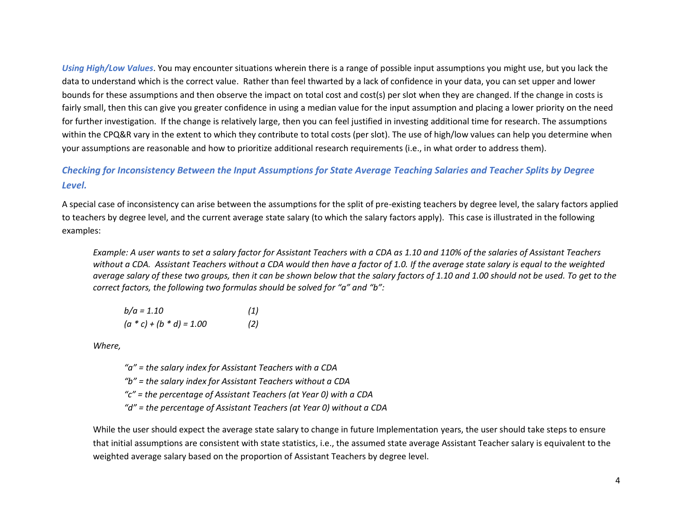*Using High/Low Values*. You may encounter situations wherein there is a range of possible input assumptions you might use, but you lack the data to understand which is the correct value. Rather than feel thwarted by a lack of confidence in your data, you can set upper and lower bounds for these assumptions and then observe the impact on total cost and cost(s) per slot when they are changed. If the change in costs is fairly small, then this can give you greater confidence in using a median value for the input assumption and placing a lower priority on the need for further investigation. If the change is relatively large, then you can feel justified in investing additional time for research. The assumptions within the CPQ&R vary in the extent to which they contribute to total costs (per slot). The use of high/low values can help you determine when your assumptions are reasonable and how to prioritize additional research requirements (i.e., in what order to address them).

## *Checking for Inconsistency Between the Input Assumptions for State Average Teaching Salaries and Teacher Splits by Degree Level.*

A special case of inconsistency can arise between the assumptions for the split of pre-existing teachers by degree level, the salary factors applied to teachers by degree level, and the current average state salary (to which the salary factors apply). This case is illustrated in the following examples:

*Example: A user wants to set a salary factor for Assistant Teachers with a CDA as 1.10 and 110% of the salaries of Assistant Teachers without a CDA. Assistant Teachers without a CDA would then have a factor of 1.0. If the average state salary is equal to the weighted average salary of these two groups, then it can be shown below that the salary factors of 1.10 and 1.00 should not be used. To get to the correct factors, the following two formulas should be solved for "a" and "b":*

| $b/a = 1.10$               | (1) |
|----------------------------|-----|
| $(a * c) + (b * d) = 1.00$ | (2) |

*Where,*

*"a" = the salary index for Assistant Teachers with a CDA "b" = the salary index for Assistant Teachers without a CDA "c" = the percentage of Assistant Teachers (at Year 0) with a CDA "d" = the percentage of Assistant Teachers (at Year 0) without a CDA*

While the user should expect the average state salary to change in future Implementation years, the user should take steps to ensure that initial assumptions are consistent with state statistics, i.e., the assumed state average Assistant Teacher salary is equivalent to the weighted average salary based on the proportion of Assistant Teachers by degree level.